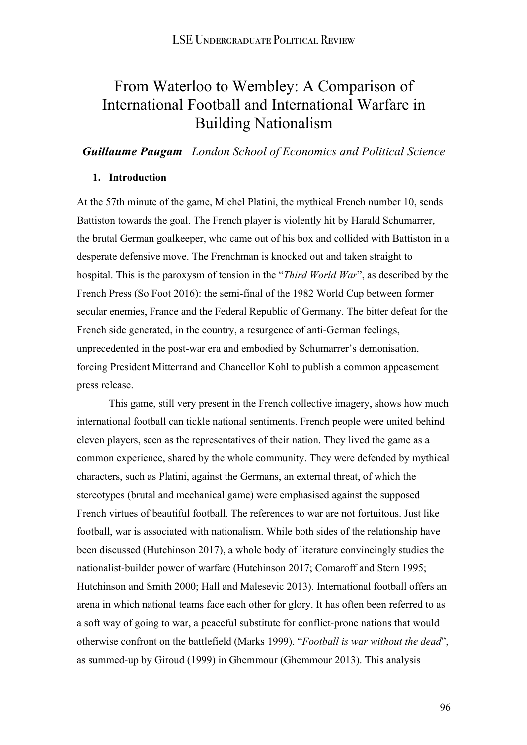# From Waterloo to Wembley: A Comparison of International Football and International Warfare in Building Nationalism

*Guillaume Paugam London School of Economics and Political Science*

## **1. Introduction**

At the 57th minute of the game, Michel Platini, the mythical French number 10, sends Battiston towards the goal. The French player is violently hit by Harald Schumarrer, the brutal German goalkeeper, who came out of his box and collided with Battiston in a desperate defensive move. The Frenchman is knocked out and taken straight to hospital. This is the paroxysm of tension in the "*Third World War*", as described by the French Press (So Foot 2016): the semi-final of the 1982 World Cup between former secular enemies, France and the Federal Republic of Germany. The bitter defeat for the French side generated, in the country, a resurgence of anti-German feelings, unprecedented in the post-war era and embodied by Schumarrer's demonisation, forcing President Mitterrand and Chancellor Kohl to publish a common appeasement press release.

This game, still very present in the French collective imagery, shows how much international football can tickle national sentiments. French people were united behind eleven players, seen as the representatives of their nation. They lived the game as a common experience, shared by the whole community. They were defended by mythical characters, such as Platini, against the Germans, an external threat, of which the stereotypes (brutal and mechanical game) were emphasised against the supposed French virtues of beautiful football. The references to war are not fortuitous. Just like football, war is associated with nationalism. While both sides of the relationship have been discussed (Hutchinson 2017), a whole body of literature convincingly studies the nationalist-builder power of warfare (Hutchinson 2017; Comaroff and Stern 1995; Hutchinson and Smith 2000; Hall and Malesevic 2013). International football offers an arena in which national teams face each other for glory. It has often been referred to as a soft way of going to war, a peaceful substitute for conflict-prone nations that would otherwise confront on the battlefield (Marks 1999). "*Football is war without the dead*", as summed-up by Giroud (1999) in Ghemmour (Ghemmour 2013). This analysis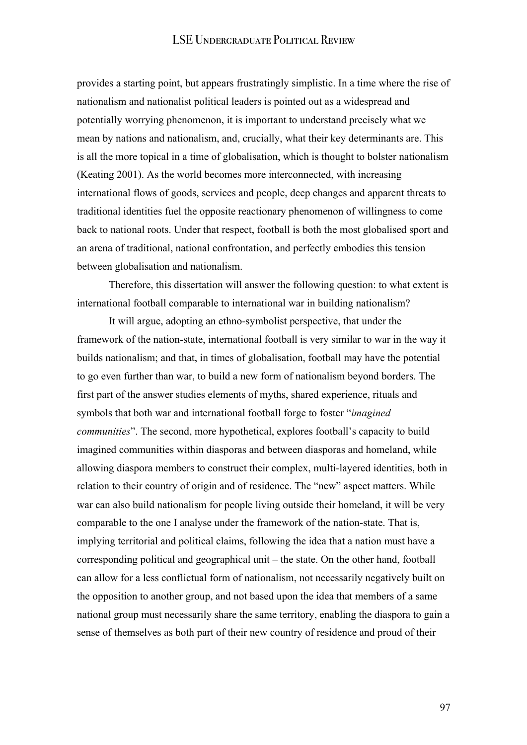provides a starting point, but appears frustratingly simplistic. In a time where the rise of nationalism and nationalist political leaders is pointed out as a widespread and potentially worrying phenomenon, it is important to understand precisely what we mean by nations and nationalism, and, crucially, what their key determinants are. This is all the more topical in a time of globalisation, which is thought to bolster nationalism (Keating 2001). As the world becomes more interconnected, with increasing international flows of goods, services and people, deep changes and apparent threats to traditional identities fuel the opposite reactionary phenomenon of willingness to come back to national roots. Under that respect, football is both the most globalised sport and an arena of traditional, national confrontation, and perfectly embodies this tension between globalisation and nationalism.

Therefore, this dissertation will answer the following question: to what extent is international football comparable to international war in building nationalism?

It will argue, adopting an ethno-symbolist perspective, that under the framework of the nation-state, international football is very similar to war in the way it builds nationalism; and that, in times of globalisation, football may have the potential to go even further than war, to build a new form of nationalism beyond borders. The first part of the answer studies elements of myths, shared experience, rituals and symbols that both war and international football forge to foster "*imagined communities*". The second, more hypothetical, explores football's capacity to build imagined communities within diasporas and between diasporas and homeland, while allowing diaspora members to construct their complex, multi-layered identities, both in relation to their country of origin and of residence. The "new" aspect matters. While war can also build nationalism for people living outside their homeland, it will be very comparable to the one I analyse under the framework of the nation-state. That is, implying territorial and political claims, following the idea that a nation must have a corresponding political and geographical unit – the state. On the other hand, football can allow for a less conflictual form of nationalism, not necessarily negatively built on the opposition to another group, and not based upon the idea that members of a same national group must necessarily share the same territory, enabling the diaspora to gain a sense of themselves as both part of their new country of residence and proud of their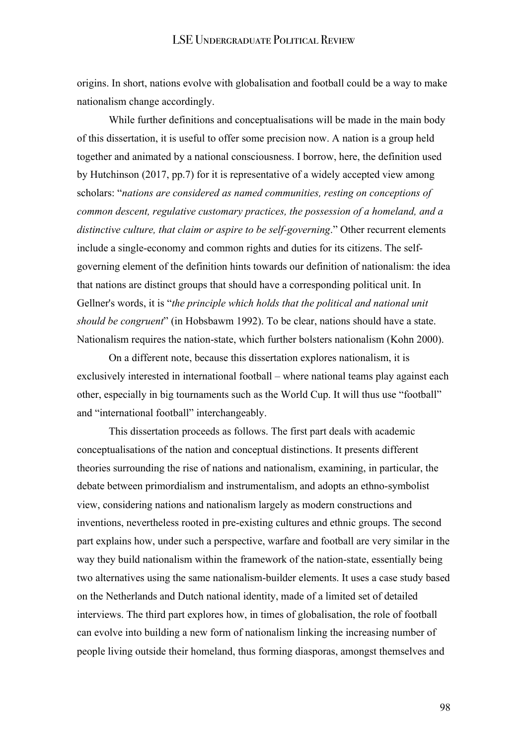origins. In short, nations evolve with globalisation and football could be a way to make nationalism change accordingly.

While further definitions and conceptualisations will be made in the main body of this dissertation, it is useful to offer some precision now. A nation is a group held together and animated by a national consciousness. I borrow, here, the definition used by Hutchinson (2017, pp.7) for it is representative of a widely accepted view among scholars: "*nations are considered as named communities, resting on conceptions of common descent, regulative customary practices, the possession of a homeland, and a distinctive culture, that claim or aspire to be self-governing*." Other recurrent elements include a single-economy and common rights and duties for its citizens. The selfgoverning element of the definition hints towards our definition of nationalism: the idea that nations are distinct groups that should have a corresponding political unit. In Gellner's words, it is "*the principle which holds that the political and national unit should be congruent*" (in Hobsbawm 1992). To be clear, nations should have a state. Nationalism requires the nation-state, which further bolsters nationalism (Kohn 2000).

On a different note, because this dissertation explores nationalism, it is exclusively interested in international football – where national teams play against each other, especially in big tournaments such as the World Cup. It will thus use "football" and "international football" interchangeably.

This dissertation proceeds as follows. The first part deals with academic conceptualisations of the nation and conceptual distinctions. It presents different theories surrounding the rise of nations and nationalism, examining, in particular, the debate between primordialism and instrumentalism, and adopts an ethno-symbolist view, considering nations and nationalism largely as modern constructions and inventions, nevertheless rooted in pre-existing cultures and ethnic groups. The second part explains how, under such a perspective, warfare and football are very similar in the way they build nationalism within the framework of the nation-state, essentially being two alternatives using the same nationalism-builder elements. It uses a case study based on the Netherlands and Dutch national identity, made of a limited set of detailed interviews. The third part explores how, in times of globalisation, the role of football can evolve into building a new form of nationalism linking the increasing number of people living outside their homeland, thus forming diasporas, amongst themselves and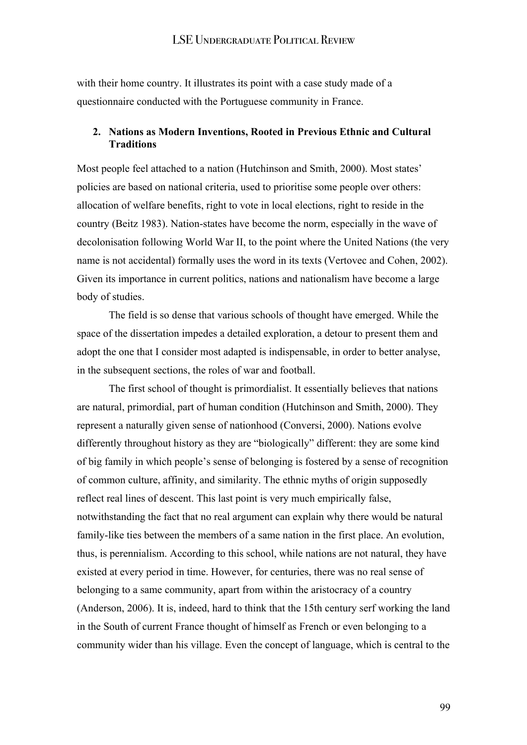with their home country. It illustrates its point with a case study made of a questionnaire conducted with the Portuguese community in France.

### **2. Nations as Modern Inventions, Rooted in Previous Ethnic and Cultural Traditions**

Most people feel attached to a nation (Hutchinson and Smith, 2000). Most states' policies are based on national criteria, used to prioritise some people over others: allocation of welfare benefits, right to vote in local elections, right to reside in the country (Beitz 1983). Nation-states have become the norm, especially in the wave of decolonisation following World War II, to the point where the United Nations (the very name is not accidental) formally uses the word in its texts (Vertovec and Cohen, 2002). Given its importance in current politics, nations and nationalism have become a large body of studies.

The field is so dense that various schools of thought have emerged. While the space of the dissertation impedes a detailed exploration, a detour to present them and adopt the one that I consider most adapted is indispensable, in order to better analyse, in the subsequent sections, the roles of war and football.

The first school of thought is primordialist. It essentially believes that nations are natural, primordial, part of human condition (Hutchinson and Smith, 2000). They represent a naturally given sense of nationhood (Conversi, 2000). Nations evolve differently throughout history as they are "biologically" different: they are some kind of big family in which people's sense of belonging is fostered by a sense of recognition of common culture, affinity, and similarity. The ethnic myths of origin supposedly reflect real lines of descent. This last point is very much empirically false, notwithstanding the fact that no real argument can explain why there would be natural family-like ties between the members of a same nation in the first place. An evolution, thus, is perennialism. According to this school, while nations are not natural, they have existed at every period in time. However, for centuries, there was no real sense of belonging to a same community, apart from within the aristocracy of a country (Anderson, 2006). It is, indeed, hard to think that the 15th century serf working the land in the South of current France thought of himself as French or even belonging to a community wider than his village. Even the concept of language, which is central to the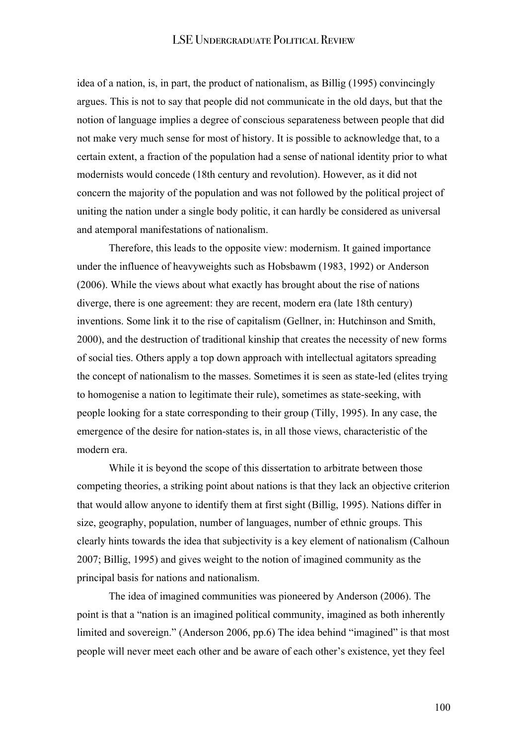idea of a nation, is, in part, the product of nationalism, as Billig (1995) convincingly argues. This is not to say that people did not communicate in the old days, but that the notion of language implies a degree of conscious separateness between people that did not make very much sense for most of history. It is possible to acknowledge that, to a certain extent, a fraction of the population had a sense of national identity prior to what modernists would concede (18th century and revolution). However, as it did not concern the majority of the population and was not followed by the political project of uniting the nation under a single body politic, it can hardly be considered as universal and atemporal manifestations of nationalism.

Therefore, this leads to the opposite view: modernism. It gained importance under the influence of heavyweights such as Hobsbawm (1983, 1992) or Anderson (2006). While the views about what exactly has brought about the rise of nations diverge, there is one agreement: they are recent, modern era (late 18th century) inventions. Some link it to the rise of capitalism (Gellner, in: Hutchinson and Smith, 2000), and the destruction of traditional kinship that creates the necessity of new forms of social ties. Others apply a top down approach with intellectual agitators spreading the concept of nationalism to the masses. Sometimes it is seen as state-led (elites trying to homogenise a nation to legitimate their rule), sometimes as state-seeking, with people looking for a state corresponding to their group (Tilly, 1995). In any case, the emergence of the desire for nation-states is, in all those views, characteristic of the modern era.

While it is beyond the scope of this dissertation to arbitrate between those competing theories, a striking point about nations is that they lack an objective criterion that would allow anyone to identify them at first sight (Billig, 1995). Nations differ in size, geography, population, number of languages, number of ethnic groups. This clearly hints towards the idea that subjectivity is a key element of nationalism (Calhoun 2007; Billig, 1995) and gives weight to the notion of imagined community as the principal basis for nations and nationalism.

The idea of imagined communities was pioneered by Anderson (2006). The point is that a "nation is an imagined political community, imagined as both inherently limited and sovereign." (Anderson 2006, pp.6) The idea behind "imagined" is that most people will never meet each other and be aware of each other's existence, yet they feel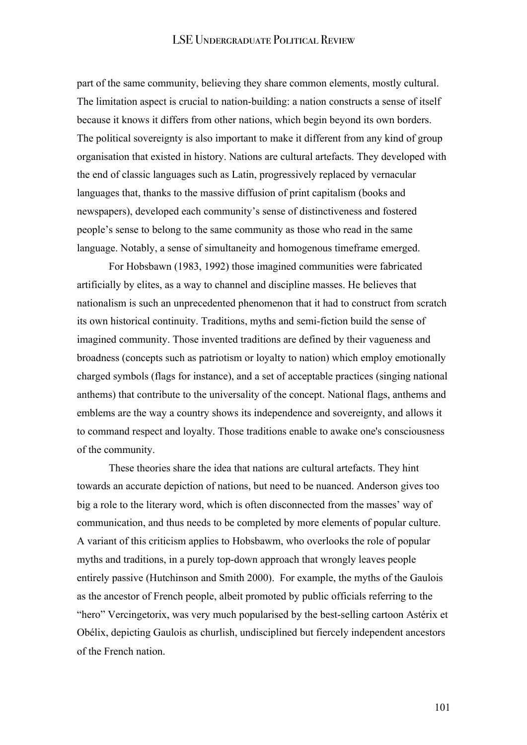part of the same community, believing they share common elements, mostly cultural. The limitation aspect is crucial to nation-building: a nation constructs a sense of itself because it knows it differs from other nations, which begin beyond its own borders. The political sovereignty is also important to make it different from any kind of group organisation that existed in history. Nations are cultural artefacts. They developed with the end of classic languages such as Latin, progressively replaced by vernacular languages that, thanks to the massive diffusion of print capitalism (books and newspapers), developed each community's sense of distinctiveness and fostered people's sense to belong to the same community as those who read in the same language. Notably, a sense of simultaneity and homogenous timeframe emerged.

For Hobsbawn (1983, 1992) those imagined communities were fabricated artificially by elites, as a way to channel and discipline masses. He believes that nationalism is such an unprecedented phenomenon that it had to construct from scratch its own historical continuity. Traditions, myths and semi-fiction build the sense of imagined community. Those invented traditions are defined by their vagueness and broadness (concepts such as patriotism or loyalty to nation) which employ emotionally charged symbols (flags for instance), and a set of acceptable practices (singing national anthems) that contribute to the universality of the concept. National flags, anthems and emblems are the way a country shows its independence and sovereignty, and allows it to command respect and loyalty. Those traditions enable to awake one's consciousness of the community.

These theories share the idea that nations are cultural artefacts. They hint towards an accurate depiction of nations, but need to be nuanced. Anderson gives too big a role to the literary word, which is often disconnected from the masses' way of communication, and thus needs to be completed by more elements of popular culture. A variant of this criticism applies to Hobsbawm, who overlooks the role of popular myths and traditions, in a purely top-down approach that wrongly leaves people entirely passive (Hutchinson and Smith 2000). For example, the myths of the Gaulois as the ancestor of French people, albeit promoted by public officials referring to the "hero" Vercingetorix, was very much popularised by the best-selling cartoon Astérix et Obélix, depicting Gaulois as churlish, undisciplined but fiercely independent ancestors of the French nation.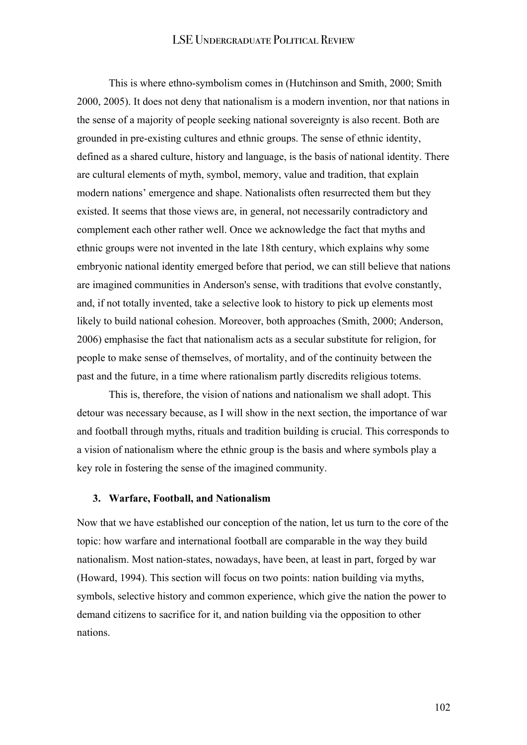This is where ethno-symbolism comes in (Hutchinson and Smith, 2000; Smith 2000, 2005). It does not deny that nationalism is a modern invention, nor that nations in the sense of a majority of people seeking national sovereignty is also recent. Both are grounded in pre-existing cultures and ethnic groups. The sense of ethnic identity, defined as a shared culture, history and language, is the basis of national identity. There are cultural elements of myth, symbol, memory, value and tradition, that explain modern nations' emergence and shape. Nationalists often resurrected them but they existed. It seems that those views are, in general, not necessarily contradictory and complement each other rather well. Once we acknowledge the fact that myths and ethnic groups were not invented in the late 18th century, which explains why some embryonic national identity emerged before that period, we can still believe that nations are imagined communities in Anderson's sense, with traditions that evolve constantly, and, if not totally invented, take a selective look to history to pick up elements most likely to build national cohesion. Moreover, both approaches (Smith, 2000; Anderson, 2006) emphasise the fact that nationalism acts as a secular substitute for religion, for people to make sense of themselves, of mortality, and of the continuity between the past and the future, in a time where rationalism partly discredits religious totems.

This is, therefore, the vision of nations and nationalism we shall adopt. This detour was necessary because, as I will show in the next section, the importance of war and football through myths, rituals and tradition building is crucial. This corresponds to a vision of nationalism where the ethnic group is the basis and where symbols play a key role in fostering the sense of the imagined community.

#### **3. Warfare, Football, and Nationalism**

Now that we have established our conception of the nation, let us turn to the core of the topic: how warfare and international football are comparable in the way they build nationalism. Most nation-states, nowadays, have been, at least in part, forged by war (Howard, 1994). This section will focus on two points: nation building via myths, symbols, selective history and common experience, which give the nation the power to demand citizens to sacrifice for it, and nation building via the opposition to other nations.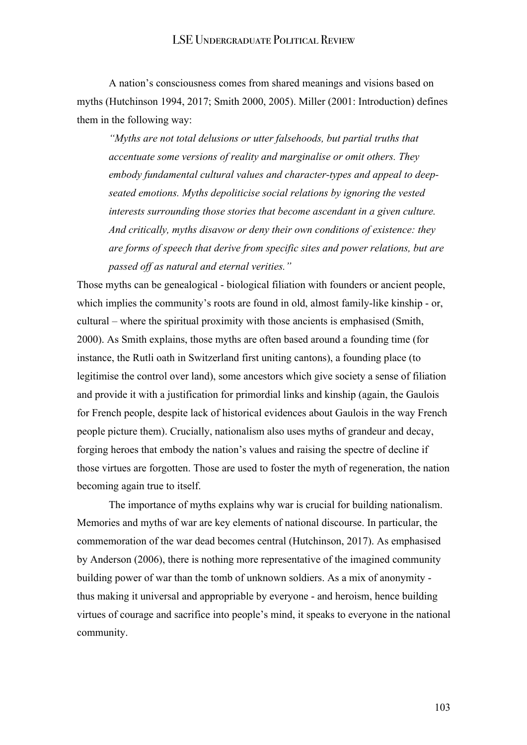A nation's consciousness comes from shared meanings and visions based on myths (Hutchinson 1994, 2017; Smith 2000, 2005). Miller (2001: Introduction) defines them in the following way:

*"Myths are not total delusions or utter falsehoods, but partial truths that accentuate some versions of reality and marginalise or omit others. They embody fundamental cultural values and character-types and appeal to deepseated emotions. Myths depoliticise social relations by ignoring the vested interests surrounding those stories that become ascendant in a given culture. And critically, myths disavow or deny their own conditions of existence: they are forms of speech that derive from specific sites and power relations, but are passed off as natural and eternal verities."* 

Those myths can be genealogical - biological filiation with founders or ancient people, which implies the community's roots are found in old, almost family-like kinship - or, cultural – where the spiritual proximity with those ancients is emphasised (Smith, 2000). As Smith explains, those myths are often based around a founding time (for instance, the Rutli oath in Switzerland first uniting cantons), a founding place (to legitimise the control over land), some ancestors which give society a sense of filiation and provide it with a justification for primordial links and kinship (again, the Gaulois for French people, despite lack of historical evidences about Gaulois in the way French people picture them). Crucially, nationalism also uses myths of grandeur and decay, forging heroes that embody the nation's values and raising the spectre of decline if those virtues are forgotten. Those are used to foster the myth of regeneration, the nation becoming again true to itself.

The importance of myths explains why war is crucial for building nationalism. Memories and myths of war are key elements of national discourse. In particular, the commemoration of the war dead becomes central (Hutchinson, 2017). As emphasised by Anderson (2006), there is nothing more representative of the imagined community building power of war than the tomb of unknown soldiers. As a mix of anonymity thus making it universal and appropriable by everyone - and heroism, hence building virtues of courage and sacrifice into people's mind, it speaks to everyone in the national community.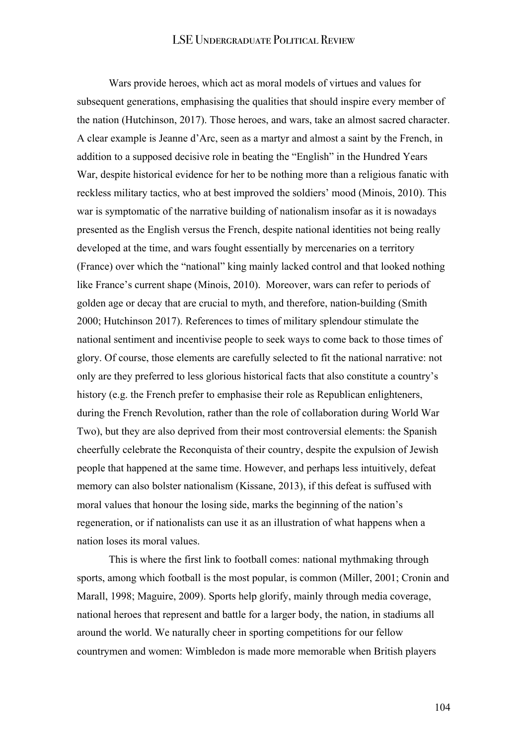Wars provide heroes, which act as moral models of virtues and values for subsequent generations, emphasising the qualities that should inspire every member of the nation (Hutchinson, 2017). Those heroes, and wars, take an almost sacred character. A clear example is Jeanne d'Arc, seen as a martyr and almost a saint by the French, in addition to a supposed decisive role in beating the "English" in the Hundred Years War, despite historical evidence for her to be nothing more than a religious fanatic with reckless military tactics, who at best improved the soldiers' mood (Minois, 2010). This war is symptomatic of the narrative building of nationalism insofar as it is nowadays presented as the English versus the French, despite national identities not being really developed at the time, and wars fought essentially by mercenaries on a territory (France) over which the "national" king mainly lacked control and that looked nothing like France's current shape (Minois, 2010). Moreover, wars can refer to periods of golden age or decay that are crucial to myth, and therefore, nation-building (Smith 2000; Hutchinson 2017). References to times of military splendour stimulate the national sentiment and incentivise people to seek ways to come back to those times of glory. Of course, those elements are carefully selected to fit the national narrative: not only are they preferred to less glorious historical facts that also constitute a country's history (e.g. the French prefer to emphasise their role as Republican enlighteners, during the French Revolution, rather than the role of collaboration during World War Two), but they are also deprived from their most controversial elements: the Spanish cheerfully celebrate the Reconquista of their country, despite the expulsion of Jewish people that happened at the same time. However, and perhaps less intuitively, defeat memory can also bolster nationalism (Kissane, 2013), if this defeat is suffused with moral values that honour the losing side, marks the beginning of the nation's regeneration, or if nationalists can use it as an illustration of what happens when a nation loses its moral values.

This is where the first link to football comes: national mythmaking through sports, among which football is the most popular, is common (Miller, 2001; Cronin and Marall, 1998; Maguire, 2009). Sports help glorify, mainly through media coverage, national heroes that represent and battle for a larger body, the nation, in stadiums all around the world. We naturally cheer in sporting competitions for our fellow countrymen and women: Wimbledon is made more memorable when British players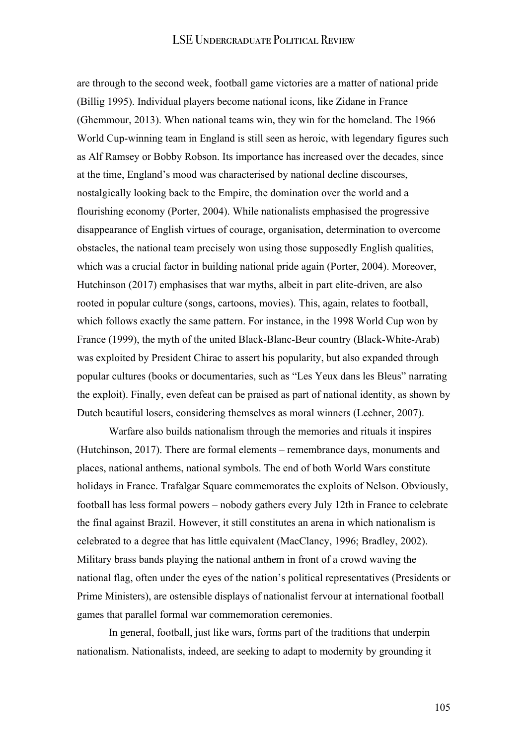are through to the second week, football game victories are a matter of national pride (Billig 1995). Individual players become national icons, like Zidane in France (Ghemmour, 2013). When national teams win, they win for the homeland. The 1966 World Cup-winning team in England is still seen as heroic, with legendary figures such as Alf Ramsey or Bobby Robson. Its importance has increased over the decades, since at the time, England's mood was characterised by national decline discourses, nostalgically looking back to the Empire, the domination over the world and a flourishing economy (Porter, 2004). While nationalists emphasised the progressive disappearance of English virtues of courage, organisation, determination to overcome obstacles, the national team precisely won using those supposedly English qualities, which was a crucial factor in building national pride again (Porter, 2004). Moreover, Hutchinson (2017) emphasises that war myths, albeit in part elite-driven, are also rooted in popular culture (songs, cartoons, movies). This, again, relates to football, which follows exactly the same pattern. For instance, in the 1998 World Cup won by France (1999), the myth of the united Black-Blanc-Beur country (Black-White-Arab) was exploited by President Chirac to assert his popularity, but also expanded through popular cultures (books or documentaries, such as "Les Yeux dans les Bleus" narrating the exploit). Finally, even defeat can be praised as part of national identity, as shown by Dutch beautiful losers, considering themselves as moral winners (Lechner, 2007).

Warfare also builds nationalism through the memories and rituals it inspires (Hutchinson, 2017). There are formal elements – remembrance days, monuments and places, national anthems, national symbols. The end of both World Wars constitute holidays in France. Trafalgar Square commemorates the exploits of Nelson. Obviously, football has less formal powers – nobody gathers every July 12th in France to celebrate the final against Brazil. However, it still constitutes an arena in which nationalism is celebrated to a degree that has little equivalent (MacClancy, 1996; Bradley, 2002). Military brass bands playing the national anthem in front of a crowd waving the national flag, often under the eyes of the nation's political representatives (Presidents or Prime Ministers), are ostensible displays of nationalist fervour at international football games that parallel formal war commemoration ceremonies.

In general, football, just like wars, forms part of the traditions that underpin nationalism. Nationalists, indeed, are seeking to adapt to modernity by grounding it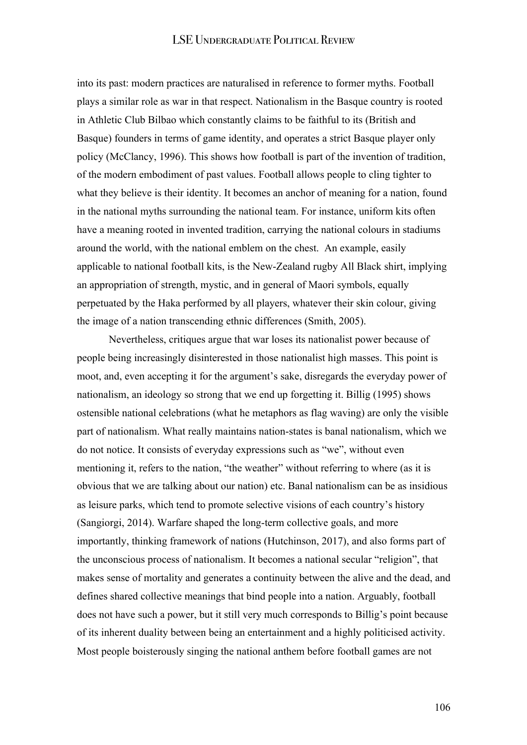into its past: modern practices are naturalised in reference to former myths. Football plays a similar role as war in that respect. Nationalism in the Basque country is rooted in Athletic Club Bilbao which constantly claims to be faithful to its (British and Basque) founders in terms of game identity, and operates a strict Basque player only policy (McClancy, 1996). This shows how football is part of the invention of tradition, of the modern embodiment of past values. Football allows people to cling tighter to what they believe is their identity. It becomes an anchor of meaning for a nation, found in the national myths surrounding the national team. For instance, uniform kits often have a meaning rooted in invented tradition, carrying the national colours in stadiums around the world, with the national emblem on the chest. An example, easily applicable to national football kits, is the New-Zealand rugby All Black shirt, implying an appropriation of strength, mystic, and in general of Maori symbols, equally perpetuated by the Haka performed by all players, whatever their skin colour, giving the image of a nation transcending ethnic differences (Smith, 2005).

Nevertheless, critiques argue that war loses its nationalist power because of people being increasingly disinterested in those nationalist high masses. This point is moot, and, even accepting it for the argument's sake, disregards the everyday power of nationalism, an ideology so strong that we end up forgetting it. Billig (1995) shows ostensible national celebrations (what he metaphors as flag waving) are only the visible part of nationalism. What really maintains nation-states is banal nationalism, which we do not notice. It consists of everyday expressions such as "we", without even mentioning it, refers to the nation, "the weather" without referring to where (as it is obvious that we are talking about our nation) etc. Banal nationalism can be as insidious as leisure parks, which tend to promote selective visions of each country's history (Sangiorgi, 2014). Warfare shaped the long-term collective goals, and more importantly, thinking framework of nations (Hutchinson, 2017), and also forms part of the unconscious process of nationalism. It becomes a national secular "religion", that makes sense of mortality and generates a continuity between the alive and the dead, and defines shared collective meanings that bind people into a nation. Arguably, football does not have such a power, but it still very much corresponds to Billig's point because of its inherent duality between being an entertainment and a highly politicised activity. Most people boisterously singing the national anthem before football games are not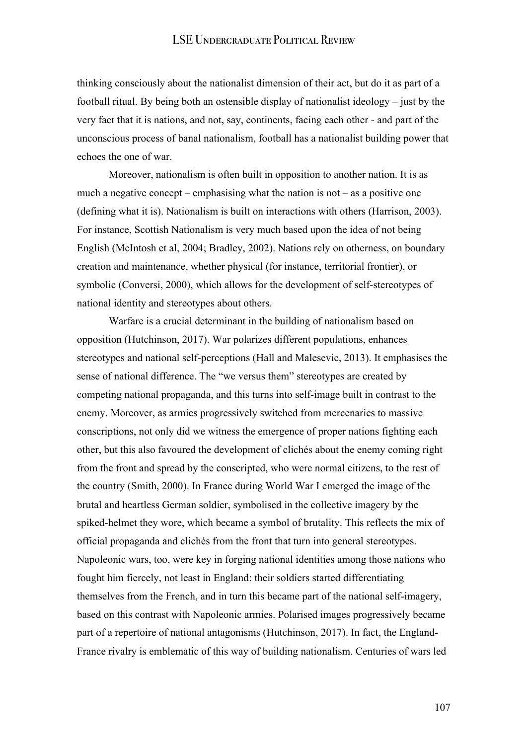thinking consciously about the nationalist dimension of their act, but do it as part of a football ritual. By being both an ostensible display of nationalist ideology – just by the very fact that it is nations, and not, say, continents, facing each other - and part of the unconscious process of banal nationalism, football has a nationalist building power that echoes the one of war.

Moreover, nationalism is often built in opposition to another nation. It is as much a negative concept – emphasising what the nation is not – as a positive one (defining what it is). Nationalism is built on interactions with others (Harrison, 2003). For instance, Scottish Nationalism is very much based upon the idea of not being English (McIntosh et al, 2004; Bradley, 2002). Nations rely on otherness, on boundary creation and maintenance, whether physical (for instance, territorial frontier), or symbolic (Conversi, 2000), which allows for the development of self-stereotypes of national identity and stereotypes about others.

Warfare is a crucial determinant in the building of nationalism based on opposition (Hutchinson, 2017). War polarizes different populations, enhances stereotypes and national self-perceptions (Hall and Malesevic, 2013). It emphasises the sense of national difference. The "we versus them" stereotypes are created by competing national propaganda, and this turns into self-image built in contrast to the enemy. Moreover, as armies progressively switched from mercenaries to massive conscriptions, not only did we witness the emergence of proper nations fighting each other, but this also favoured the development of clichés about the enemy coming right from the front and spread by the conscripted, who were normal citizens, to the rest of the country (Smith, 2000). In France during World War I emerged the image of the brutal and heartless German soldier, symbolised in the collective imagery by the spiked-helmet they wore, which became a symbol of brutality. This reflects the mix of official propaganda and clichés from the front that turn into general stereotypes. Napoleonic wars, too, were key in forging national identities among those nations who fought him fiercely, not least in England: their soldiers started differentiating themselves from the French, and in turn this became part of the national self-imagery, based on this contrast with Napoleonic armies. Polarised images progressively became part of a repertoire of national antagonisms (Hutchinson, 2017). In fact, the England-France rivalry is emblematic of this way of building nationalism. Centuries of wars led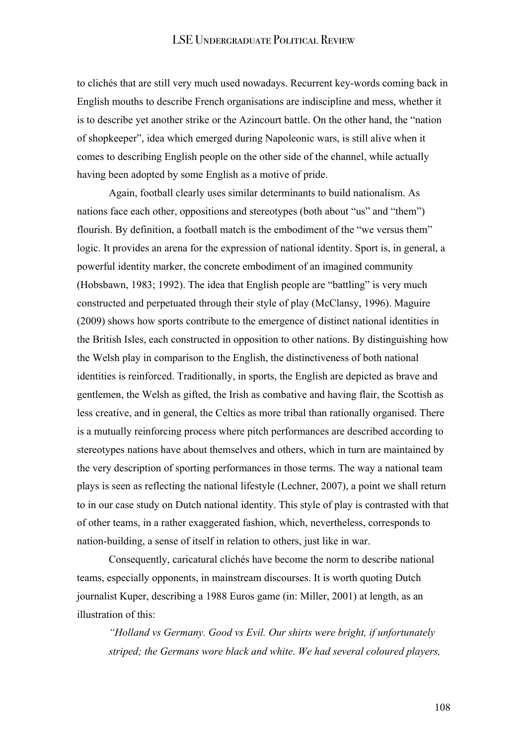to clichés that are still very much used nowadays. Recurrent key-words coming back in English mouths to describe French organisations are indiscipline and mess, whether it is to describe yet another strike or the Azincourt battle. On the other hand, the "nation of shopkeeper", idea which emerged during Napoleonic wars, is still alive when it comes to describing English people on the other side of the channel, while actually having been adopted by some English as a motive of pride.

Again, football clearly uses similar determinants to build nationalism. As nations face each other, oppositions and stereotypes (both about "us" and "them") flourish. By definition, a football match is the embodiment of the "we versus them" logic. It provides an arena for the expression of national identity. Sport is, in general, a powerful identity marker, the concrete embodiment of an imagined community (Hobsbawn, 1983; 1992). The idea that English people are "battling" is very much constructed and perpetuated through their style of play (McClansy, 1996). Maguire (2009) shows how sports contribute to the emergence of distinct national identities in the British Isles, each constructed in opposition to other nations. By distinguishing how the Welsh play in comparison to the English, the distinctiveness of both national identities is reinforced. Traditionally, in sports, the English are depicted as brave and gentlemen, the Welsh as gifted, the Irish as combative and having flair, the Scottish as less creative, and in general, the Celtics as more tribal than rationally organised. There is a mutually reinforcing process where pitch performances are described according to stereotypes nations have about themselves and others, which in turn are maintained by the very description of sporting performances in those terms. The way a national team plays is seen as reflecting the national lifestyle (Lechner, 2007), a point we shall return to in our case study on Dutch national identity. This style of play is contrasted with that of other teams, in a rather exaggerated fashion, which, nevertheless, corresponds to nation-building, a sense of itself in relation to others, just like in war.

Consequently, caricatural clichés have become the norm to describe national teams, especially opponents, in mainstream discourses. It is worth quoting Dutch journalist Kuper, describing a 1988 Euros game (in: Miller, 2001) at length, as an illustration of this:

*"Holland vs Germany. Good vs Evil. Our shirts were bright, if unfortunately striped; the Germans wore black and white. We had several coloured players,*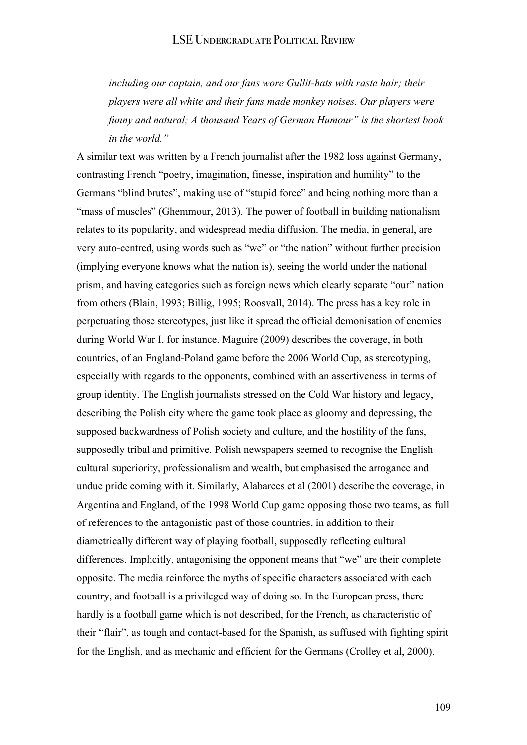*including our captain, and our fans wore Gullit-hats with rasta hair; their players were all white and their fans made monkey noises. Our players were funny and natural; A thousand Years of German Humour" is the shortest book in the world."* 

A similar text was written by a French journalist after the 1982 loss against Germany, contrasting French "poetry, imagination, finesse, inspiration and humility" to the Germans "blind brutes", making use of "stupid force" and being nothing more than a "mass of muscles" (Ghemmour, 2013). The power of football in building nationalism relates to its popularity, and widespread media diffusion. The media, in general, are very auto-centred, using words such as "we" or "the nation" without further precision (implying everyone knows what the nation is), seeing the world under the national prism, and having categories such as foreign news which clearly separate "our" nation from others (Blain, 1993; Billig, 1995; Roosvall, 2014). The press has a key role in perpetuating those stereotypes, just like it spread the official demonisation of enemies during World War I, for instance. Maguire (2009) describes the coverage, in both countries, of an England-Poland game before the 2006 World Cup, as stereotyping, especially with regards to the opponents, combined with an assertiveness in terms of group identity. The English journalists stressed on the Cold War history and legacy, describing the Polish city where the game took place as gloomy and depressing, the supposed backwardness of Polish society and culture, and the hostility of the fans, supposedly tribal and primitive. Polish newspapers seemed to recognise the English cultural superiority, professionalism and wealth, but emphasised the arrogance and undue pride coming with it. Similarly, Alabarces et al (2001) describe the coverage, in Argentina and England, of the 1998 World Cup game opposing those two teams, as full of references to the antagonistic past of those countries, in addition to their diametrically different way of playing football, supposedly reflecting cultural differences. Implicitly, antagonising the opponent means that "we" are their complete opposite. The media reinforce the myths of specific characters associated with each country, and football is a privileged way of doing so. In the European press, there hardly is a football game which is not described, for the French, as characteristic of their "flair", as tough and contact-based for the Spanish, as suffused with fighting spirit for the English, and as mechanic and efficient for the Germans (Crolley et al, 2000).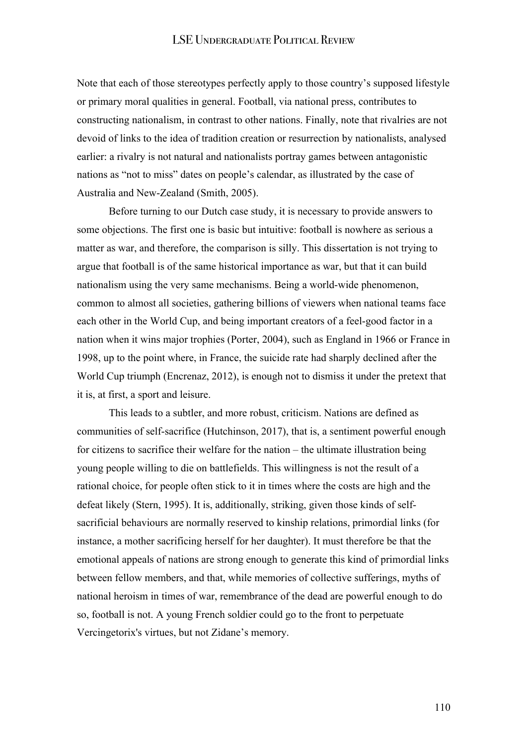Note that each of those stereotypes perfectly apply to those country's supposed lifestyle or primary moral qualities in general. Football, via national press, contributes to constructing nationalism, in contrast to other nations. Finally, note that rivalries are not devoid of links to the idea of tradition creation or resurrection by nationalists, analysed earlier: a rivalry is not natural and nationalists portray games between antagonistic nations as "not to miss" dates on people's calendar, as illustrated by the case of Australia and New-Zealand (Smith, 2005).

Before turning to our Dutch case study, it is necessary to provide answers to some objections. The first one is basic but intuitive: football is nowhere as serious a matter as war, and therefore, the comparison is silly. This dissertation is not trying to argue that football is of the same historical importance as war, but that it can build nationalism using the very same mechanisms. Being a world-wide phenomenon, common to almost all societies, gathering billions of viewers when national teams face each other in the World Cup, and being important creators of a feel-good factor in a nation when it wins major trophies (Porter, 2004), such as England in 1966 or France in 1998, up to the point where, in France, the suicide rate had sharply declined after the World Cup triumph (Encrenaz, 2012), is enough not to dismiss it under the pretext that it is, at first, a sport and leisure.

This leads to a subtler, and more robust, criticism. Nations are defined as communities of self-sacrifice (Hutchinson, 2017), that is, a sentiment powerful enough for citizens to sacrifice their welfare for the nation – the ultimate illustration being young people willing to die on battlefields. This willingness is not the result of a rational choice, for people often stick to it in times where the costs are high and the defeat likely (Stern, 1995). It is, additionally, striking, given those kinds of selfsacrificial behaviours are normally reserved to kinship relations, primordial links (for instance, a mother sacrificing herself for her daughter). It must therefore be that the emotional appeals of nations are strong enough to generate this kind of primordial links between fellow members, and that, while memories of collective sufferings, myths of national heroism in times of war, remembrance of the dead are powerful enough to do so, football is not. A young French soldier could go to the front to perpetuate Vercingetorix's virtues, but not Zidane's memory.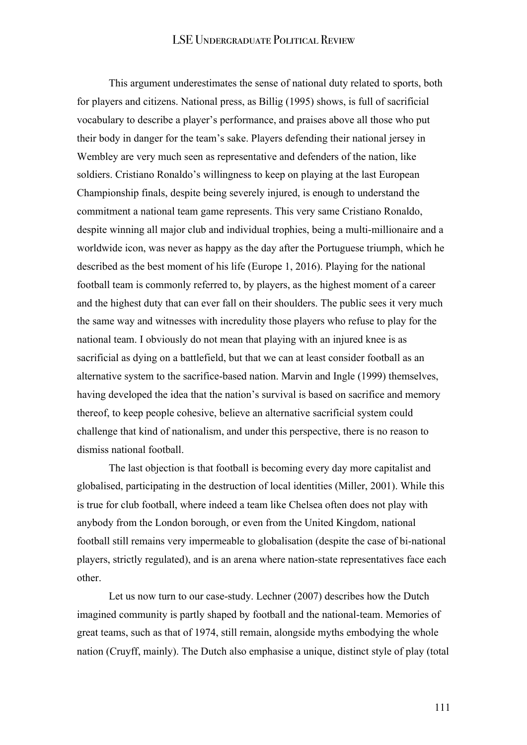This argument underestimates the sense of national duty related to sports, both for players and citizens. National press, as Billig (1995) shows, is full of sacrificial vocabulary to describe a player's performance, and praises above all those who put their body in danger for the team's sake. Players defending their national jersey in Wembley are very much seen as representative and defenders of the nation, like soldiers. Cristiano Ronaldo's willingness to keep on playing at the last European Championship finals, despite being severely injured, is enough to understand the commitment a national team game represents. This very same Cristiano Ronaldo, despite winning all major club and individual trophies, being a multi-millionaire and a worldwide icon, was never as happy as the day after the Portuguese triumph, which he described as the best moment of his life (Europe 1, 2016). Playing for the national football team is commonly referred to, by players, as the highest moment of a career and the highest duty that can ever fall on their shoulders. The public sees it very much the same way and witnesses with incredulity those players who refuse to play for the national team. I obviously do not mean that playing with an injured knee is as sacrificial as dying on a battlefield, but that we can at least consider football as an alternative system to the sacrifice-based nation. Marvin and Ingle (1999) themselves, having developed the idea that the nation's survival is based on sacrifice and memory thereof, to keep people cohesive, believe an alternative sacrificial system could challenge that kind of nationalism, and under this perspective, there is no reason to dismiss national football.

The last objection is that football is becoming every day more capitalist and globalised, participating in the destruction of local identities (Miller, 2001). While this is true for club football, where indeed a team like Chelsea often does not play with anybody from the London borough, or even from the United Kingdom, national football still remains very impermeable to globalisation (despite the case of bi-national players, strictly regulated), and is an arena where nation-state representatives face each other.

Let us now turn to our case-study. Lechner (2007) describes how the Dutch imagined community is partly shaped by football and the national-team. Memories of great teams, such as that of 1974, still remain, alongside myths embodying the whole nation (Cruyff, mainly). The Dutch also emphasise a unique, distinct style of play (total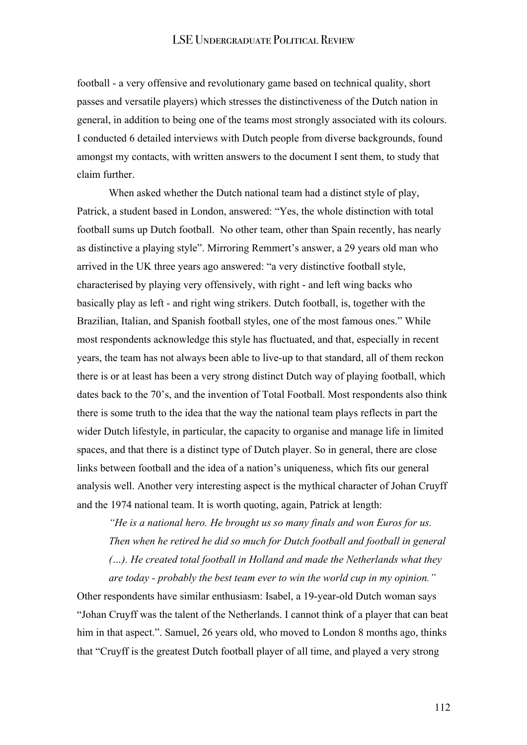football - a very offensive and revolutionary game based on technical quality, short passes and versatile players) which stresses the distinctiveness of the Dutch nation in general, in addition to being one of the teams most strongly associated with its colours. I conducted 6 detailed interviews with Dutch people from diverse backgrounds, found amongst my contacts, with written answers to the document I sent them, to study that claim further.

When asked whether the Dutch national team had a distinct style of play, Patrick, a student based in London, answered: "Yes, the whole distinction with total football sums up Dutch football. No other team, other than Spain recently, has nearly as distinctive a playing style". Mirroring Remmert's answer, a 29 years old man who arrived in the UK three years ago answered: "a very distinctive football style, characterised by playing very offensively, with right - and left wing backs who basically play as left - and right wing strikers. Dutch football, is, together with the Brazilian, Italian, and Spanish football styles, one of the most famous ones." While most respondents acknowledge this style has fluctuated, and that, especially in recent years, the team has not always been able to live-up to that standard, all of them reckon there is or at least has been a very strong distinct Dutch way of playing football, which dates back to the 70's, and the invention of Total Football. Most respondents also think there is some truth to the idea that the way the national team plays reflects in part the wider Dutch lifestyle, in particular, the capacity to organise and manage life in limited spaces, and that there is a distinct type of Dutch player. So in general, there are close links between football and the idea of a nation's uniqueness, which fits our general analysis well. Another very interesting aspect is the mythical character of Johan Cruyff and the 1974 national team. It is worth quoting, again, Patrick at length:

*"He is a national hero. He brought us so many finals and won Euros for us. Then when he retired he did so much for Dutch football and football in general (…). He created total football in Holland and made the Netherlands what they are today - probably the best team ever to win the world cup in my opinion."* 

Other respondents have similar enthusiasm: Isabel, a 19-year-old Dutch woman says "Johan Cruyff was the talent of the Netherlands. I cannot think of a player that can beat him in that aspect.". Samuel, 26 years old, who moved to London 8 months ago, thinks that "Cruyff is the greatest Dutch football player of all time, and played a very strong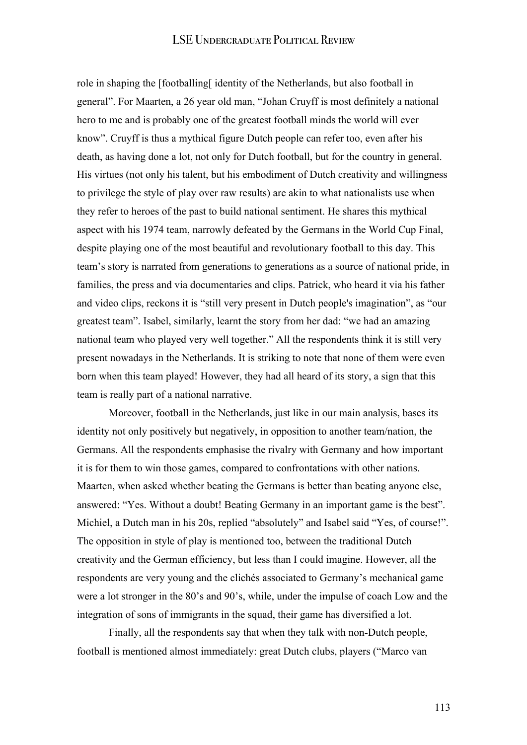role in shaping the [footballing[ identity of the Netherlands, but also football in general". For Maarten, a 26 year old man, "Johan Cruyff is most definitely a national hero to me and is probably one of the greatest football minds the world will ever know". Cruyff is thus a mythical figure Dutch people can refer too, even after his death, as having done a lot, not only for Dutch football, but for the country in general. His virtues (not only his talent, but his embodiment of Dutch creativity and willingness to privilege the style of play over raw results) are akin to what nationalists use when they refer to heroes of the past to build national sentiment. He shares this mythical aspect with his 1974 team, narrowly defeated by the Germans in the World Cup Final, despite playing one of the most beautiful and revolutionary football to this day. This team's story is narrated from generations to generations as a source of national pride, in families, the press and via documentaries and clips. Patrick, who heard it via his father and video clips, reckons it is "still very present in Dutch people's imagination", as "our greatest team". Isabel, similarly, learnt the story from her dad: "we had an amazing national team who played very well together." All the respondents think it is still very present nowadays in the Netherlands. It is striking to note that none of them were even born when this team played! However, they had all heard of its story, a sign that this team is really part of a national narrative.

Moreover, football in the Netherlands, just like in our main analysis, bases its identity not only positively but negatively, in opposition to another team/nation, the Germans. All the respondents emphasise the rivalry with Germany and how important it is for them to win those games, compared to confrontations with other nations. Maarten, when asked whether beating the Germans is better than beating anyone else, answered: "Yes. Without a doubt! Beating Germany in an important game is the best". Michiel, a Dutch man in his 20s, replied "absolutely" and Isabel said "Yes, of course!". The opposition in style of play is mentioned too, between the traditional Dutch creativity and the German efficiency, but less than I could imagine. However, all the respondents are very young and the clichés associated to Germany's mechanical game were a lot stronger in the 80's and 90's, while, under the impulse of coach Low and the integration of sons of immigrants in the squad, their game has diversified a lot.

Finally, all the respondents say that when they talk with non-Dutch people, football is mentioned almost immediately: great Dutch clubs, players ("Marco van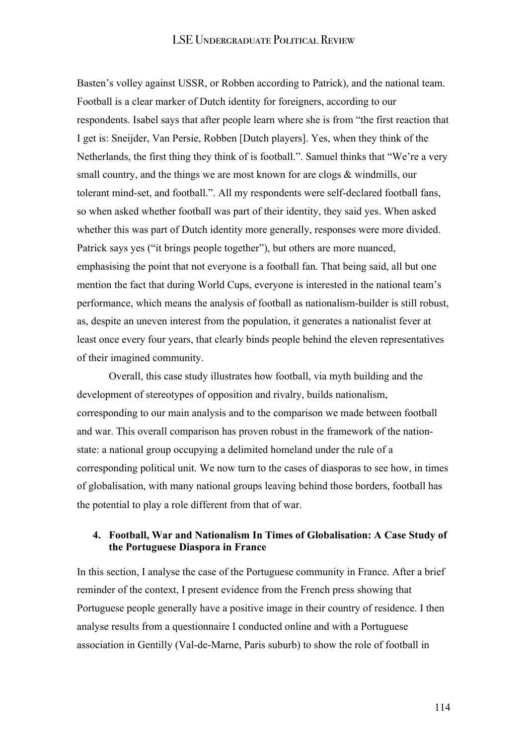Basten's volley against USSR, or Robben according to Patrick), and the national team. Football is a clear marker of Dutch identity for foreigners, according to our respondents. Isabel says that after people learn where she is from "the first reaction that I get is: Sneijder, Van Persie, Robben [Dutch players]. Yes, when they think of the Netherlands, the first thing they think of is football.". Samuel thinks that "We're a very small country, and the things we are most known for are clogs & windmills, our tolerant mind-set, and football.". All my respondents were self-declared football fans, so when asked whether football was part of their identity, they said yes. When asked whether this was part of Dutch identity more generally, responses were more divided. Patrick says yes ("it brings people together"), but others are more nuanced, emphasising the point that not everyone is a football fan. That being said, all but one mention the fact that during World Cups, everyone is interested in the national team's performance, which means the analysis of football as nationalism-builder is still robust, as, despite an uneven interest from the population, it generates a nationalist fever at least once every four years, that clearly binds people behind the eleven representatives of their imagined community.

Overall, this case study illustrates how football, via myth building and the development of stereotypes of opposition and rivalry, builds nationalism, corresponding to our main analysis and to the comparison we made between football and war. This overall comparison has proven robust in the framework of the nationstate: a national group occupying a delimited homeland under the rule of a corresponding political unit. We now turn to the cases of diasporas to see how, in times of globalisation, with many national groups leaving behind those borders, football has the potential to play a role different from that of war.

### **4. Football, War and Nationalism In Times of Globalisation: A Case Study of the Portuguese Diaspora in France**

In this section, I analyse the case of the Portuguese community in France. After a brief reminder of the context, I present evidence from the French press showing that Portuguese people generally have a positive image in their country of residence. I then analyse results from a questionnaire I conducted online and with a Portuguese association in Gentilly (Val-de-Marne, Paris suburb) to show the role of football in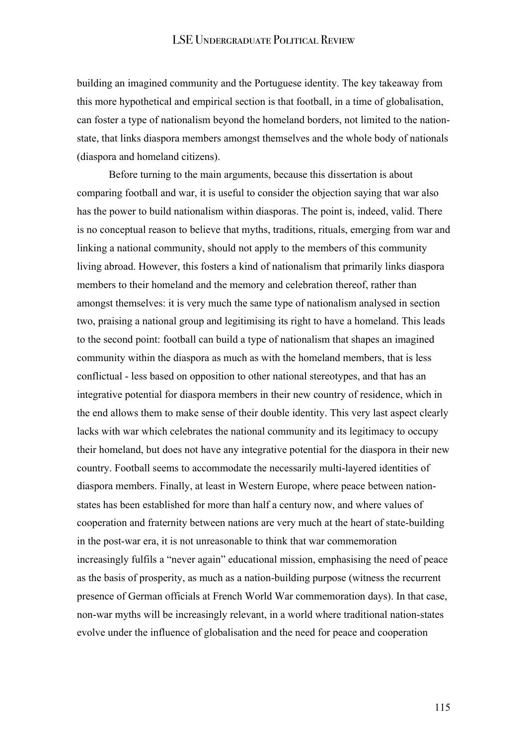building an imagined community and the Portuguese identity. The key takeaway from this more hypothetical and empirical section is that football, in a time of globalisation, can foster a type of nationalism beyond the homeland borders, not limited to the nationstate, that links diaspora members amongst themselves and the whole body of nationals (diaspora and homeland citizens).

Before turning to the main arguments, because this dissertation is about comparing football and war, it is useful to consider the objection saying that war also has the power to build nationalism within diasporas. The point is, indeed, valid. There is no conceptual reason to believe that myths, traditions, rituals, emerging from war and linking a national community, should not apply to the members of this community living abroad. However, this fosters a kind of nationalism that primarily links diaspora members to their homeland and the memory and celebration thereof, rather than amongst themselves: it is very much the same type of nationalism analysed in section two, praising a national group and legitimising its right to have a homeland. This leads to the second point: football can build a type of nationalism that shapes an imagined community within the diaspora as much as with the homeland members, that is less conflictual - less based on opposition to other national stereotypes, and that has an integrative potential for diaspora members in their new country of residence, which in the end allows them to make sense of their double identity. This very last aspect clearly lacks with war which celebrates the national community and its legitimacy to occupy their homeland, but does not have any integrative potential for the diaspora in their new country. Football seems to accommodate the necessarily multi-layered identities of diaspora members. Finally, at least in Western Europe, where peace between nationstates has been established for more than half a century now, and where values of cooperation and fraternity between nations are very much at the heart of state-building in the post-war era, it is not unreasonable to think that war commemoration increasingly fulfils a "never again" educational mission, emphasising the need of peace as the basis of prosperity, as much as a nation-building purpose (witness the recurrent presence of German officials at French World War commemoration days). In that case, non-war myths will be increasingly relevant, in a world where traditional nation-states evolve under the influence of globalisation and the need for peace and cooperation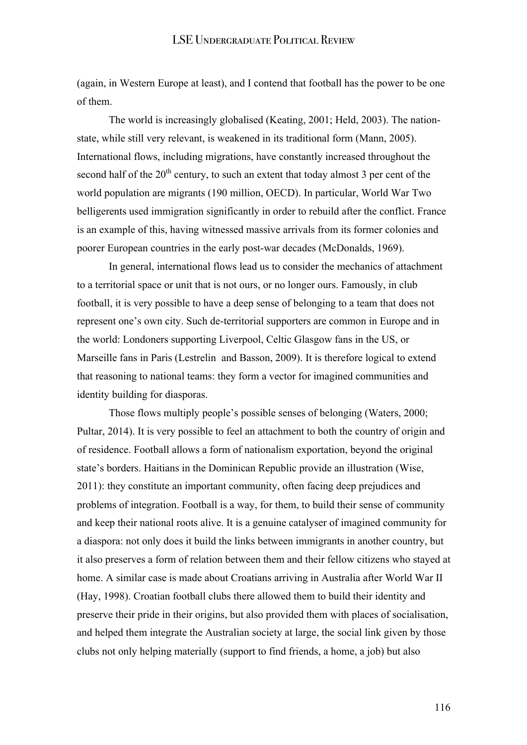(again, in Western Europe at least), and I contend that football has the power to be one of them.

The world is increasingly globalised (Keating, 2001; Held, 2003). The nationstate, while still very relevant, is weakened in its traditional form (Mann, 2005). International flows, including migrations, have constantly increased throughout the second half of the 20<sup>th</sup> century, to such an extent that today almost 3 per cent of the world population are migrants (190 million, OECD). In particular, World War Two belligerents used immigration significantly in order to rebuild after the conflict. France is an example of this, having witnessed massive arrivals from its former colonies and poorer European countries in the early post-war decades (McDonalds, 1969).

In general, international flows lead us to consider the mechanics of attachment to a territorial space or unit that is not ours, or no longer ours. Famously, in club football, it is very possible to have a deep sense of belonging to a team that does not represent one's own city. Such de-territorial supporters are common in Europe and in the world: Londoners supporting Liverpool, Celtic Glasgow fans in the US, or Marseille fans in Paris (Lestrelin and Basson, 2009). It is therefore logical to extend that reasoning to national teams: they form a vector for imagined communities and identity building for diasporas.

Those flows multiply people's possible senses of belonging (Waters, 2000; Pultar, 2014). It is very possible to feel an attachment to both the country of origin and of residence. Football allows a form of nationalism exportation, beyond the original state's borders. Haitians in the Dominican Republic provide an illustration (Wise, 2011): they constitute an important community, often facing deep prejudices and problems of integration. Football is a way, for them, to build their sense of community and keep their national roots alive. It is a genuine catalyser of imagined community for a diaspora: not only does it build the links between immigrants in another country, but it also preserves a form of relation between them and their fellow citizens who stayed at home. A similar case is made about Croatians arriving in Australia after World War II (Hay, 1998). Croatian football clubs there allowed them to build their identity and preserve their pride in their origins, but also provided them with places of socialisation, and helped them integrate the Australian society at large, the social link given by those clubs not only helping materially (support to find friends, a home, a job) but also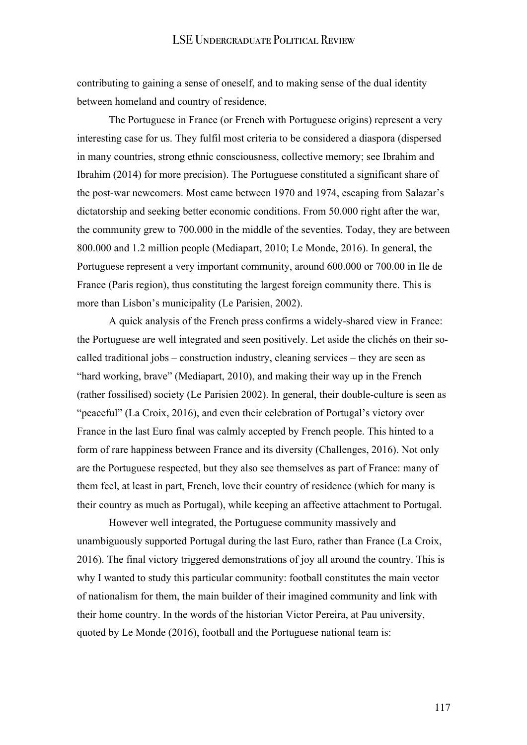contributing to gaining a sense of oneself, and to making sense of the dual identity between homeland and country of residence.

The Portuguese in France (or French with Portuguese origins) represent a very interesting case for us. They fulfil most criteria to be considered a diaspora (dispersed in many countries, strong ethnic consciousness, collective memory; see Ibrahim and Ibrahim (2014) for more precision). The Portuguese constituted a significant share of the post-war newcomers. Most came between 1970 and 1974, escaping from Salazar's dictatorship and seeking better economic conditions. From 50.000 right after the war, the community grew to 700.000 in the middle of the seventies. Today, they are between 800.000 and 1.2 million people (Mediapart, 2010; Le Monde, 2016). In general, the Portuguese represent a very important community, around 600.000 or 700.00 in Ile de France (Paris region), thus constituting the largest foreign community there. This is more than Lisbon's municipality (Le Parisien, 2002).

A quick analysis of the French press confirms a widely-shared view in France: the Portuguese are well integrated and seen positively. Let aside the clichés on their socalled traditional jobs – construction industry, cleaning services – they are seen as "hard working, brave" (Mediapart, 2010), and making their way up in the French (rather fossilised) society (Le Parisien 2002). In general, their double-culture is seen as "peaceful" (La Croix, 2016), and even their celebration of Portugal's victory over France in the last Euro final was calmly accepted by French people. This hinted to a form of rare happiness between France and its diversity (Challenges, 2016). Not only are the Portuguese respected, but they also see themselves as part of France: many of them feel, at least in part, French, love their country of residence (which for many is their country as much as Portugal), while keeping an affective attachment to Portugal.

However well integrated, the Portuguese community massively and unambiguously supported Portugal during the last Euro, rather than France (La Croix, 2016). The final victory triggered demonstrations of joy all around the country. This is why I wanted to study this particular community: football constitutes the main vector of nationalism for them, the main builder of their imagined community and link with their home country. In the words of the historian Victor Pereira, at Pau university, quoted by Le Monde (2016), football and the Portuguese national team is: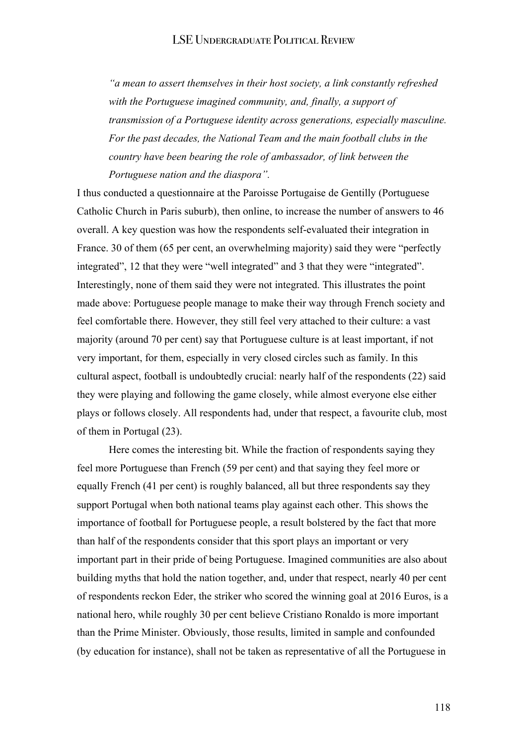*"a mean to assert themselves in their host society, a link constantly refreshed with the Portuguese imagined community, and, finally, a support of transmission of a Portuguese identity across generations, especially masculine. For the past decades, the National Team and the main football clubs in the country have been bearing the role of ambassador, of link between the Portuguese nation and the diaspora".* 

I thus conducted a questionnaire at the Paroisse Portugaise de Gentilly (Portuguese Catholic Church in Paris suburb), then online, to increase the number of answers to 46 overall. A key question was how the respondents self-evaluated their integration in France. 30 of them (65 per cent, an overwhelming majority) said they were "perfectly integrated", 12 that they were "well integrated" and 3 that they were "integrated". Interestingly, none of them said they were not integrated. This illustrates the point made above: Portuguese people manage to make their way through French society and feel comfortable there. However, they still feel very attached to their culture: a vast majority (around 70 per cent) say that Portuguese culture is at least important, if not very important, for them, especially in very closed circles such as family. In this cultural aspect, football is undoubtedly crucial: nearly half of the respondents (22) said they were playing and following the game closely, while almost everyone else either plays or follows closely. All respondents had, under that respect, a favourite club, most of them in Portugal (23).

Here comes the interesting bit. While the fraction of respondents saying they feel more Portuguese than French (59 per cent) and that saying they feel more or equally French (41 per cent) is roughly balanced, all but three respondents say they support Portugal when both national teams play against each other. This shows the importance of football for Portuguese people, a result bolstered by the fact that more than half of the respondents consider that this sport plays an important or very important part in their pride of being Portuguese. Imagined communities are also about building myths that hold the nation together, and, under that respect, nearly 40 per cent of respondents reckon Eder, the striker who scored the winning goal at 2016 Euros, is a national hero, while roughly 30 per cent believe Cristiano Ronaldo is more important than the Prime Minister. Obviously, those results, limited in sample and confounded (by education for instance), shall not be taken as representative of all the Portuguese in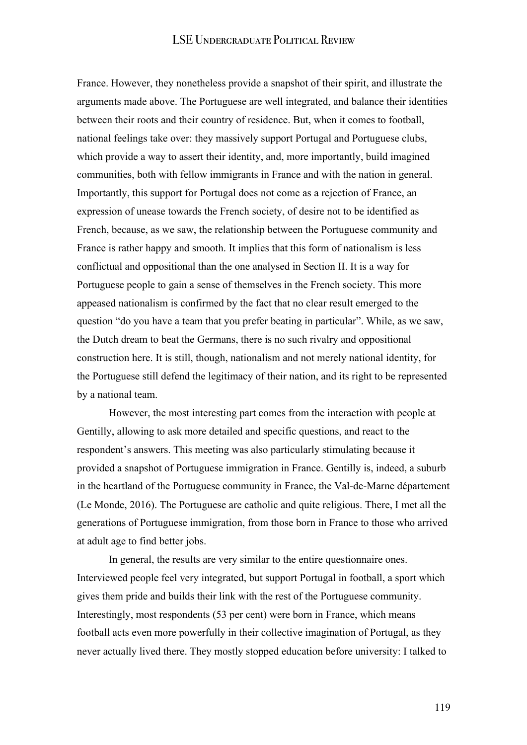France. However, they nonetheless provide a snapshot of their spirit, and illustrate the arguments made above. The Portuguese are well integrated, and balance their identities between their roots and their country of residence. But, when it comes to football, national feelings take over: they massively support Portugal and Portuguese clubs, which provide a way to assert their identity, and, more importantly, build imagined communities, both with fellow immigrants in France and with the nation in general. Importantly, this support for Portugal does not come as a rejection of France, an expression of unease towards the French society, of desire not to be identified as French, because, as we saw, the relationship between the Portuguese community and France is rather happy and smooth. It implies that this form of nationalism is less conflictual and oppositional than the one analysed in Section II. It is a way for Portuguese people to gain a sense of themselves in the French society. This more appeased nationalism is confirmed by the fact that no clear result emerged to the question "do you have a team that you prefer beating in particular". While, as we saw, the Dutch dream to beat the Germans, there is no such rivalry and oppositional construction here. It is still, though, nationalism and not merely national identity, for the Portuguese still defend the legitimacy of their nation, and its right to be represented by a national team.

However, the most interesting part comes from the interaction with people at Gentilly, allowing to ask more detailed and specific questions, and react to the respondent's answers. This meeting was also particularly stimulating because it provided a snapshot of Portuguese immigration in France. Gentilly is, indeed, a suburb in the heartland of the Portuguese community in France, the Val-de-Marne département (Le Monde, 2016). The Portuguese are catholic and quite religious. There, I met all the generations of Portuguese immigration, from those born in France to those who arrived at adult age to find better jobs.

In general, the results are very similar to the entire questionnaire ones. Interviewed people feel very integrated, but support Portugal in football, a sport which gives them pride and builds their link with the rest of the Portuguese community. Interestingly, most respondents (53 per cent) were born in France, which means football acts even more powerfully in their collective imagination of Portugal, as they never actually lived there. They mostly stopped education before university: I talked to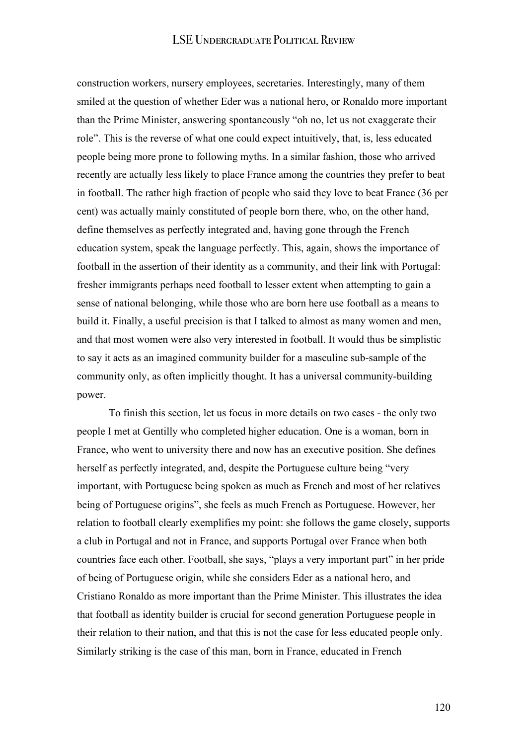construction workers, nursery employees, secretaries. Interestingly, many of them smiled at the question of whether Eder was a national hero, or Ronaldo more important than the Prime Minister, answering spontaneously "oh no, let us not exaggerate their role". This is the reverse of what one could expect intuitively, that, is, less educated people being more prone to following myths. In a similar fashion, those who arrived recently are actually less likely to place France among the countries they prefer to beat in football. The rather high fraction of people who said they love to beat France (36 per cent) was actually mainly constituted of people born there, who, on the other hand, define themselves as perfectly integrated and, having gone through the French education system, speak the language perfectly. This, again, shows the importance of football in the assertion of their identity as a community, and their link with Portugal: fresher immigrants perhaps need football to lesser extent when attempting to gain a sense of national belonging, while those who are born here use football as a means to build it. Finally, a useful precision is that I talked to almost as many women and men, and that most women were also very interested in football. It would thus be simplistic to say it acts as an imagined community builder for a masculine sub-sample of the community only, as often implicitly thought. It has a universal community-building power.

To finish this section, let us focus in more details on two cases - the only two people I met at Gentilly who completed higher education. One is a woman, born in France, who went to university there and now has an executive position. She defines herself as perfectly integrated, and, despite the Portuguese culture being "very important, with Portuguese being spoken as much as French and most of her relatives being of Portuguese origins", she feels as much French as Portuguese. However, her relation to football clearly exemplifies my point: she follows the game closely, supports a club in Portugal and not in France, and supports Portugal over France when both countries face each other. Football, she says, "plays a very important part" in her pride of being of Portuguese origin, while she considers Eder as a national hero, and Cristiano Ronaldo as more important than the Prime Minister. This illustrates the idea that football as identity builder is crucial for second generation Portuguese people in their relation to their nation, and that this is not the case for less educated people only. Similarly striking is the case of this man, born in France, educated in French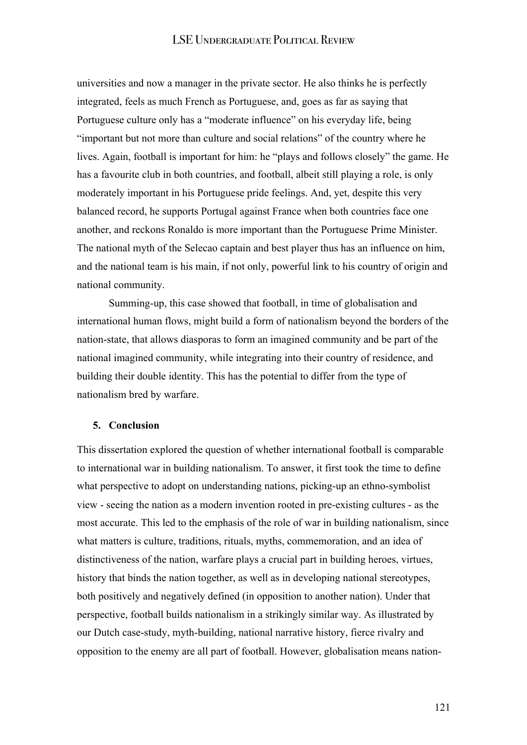universities and now a manager in the private sector. He also thinks he is perfectly integrated, feels as much French as Portuguese, and, goes as far as saying that Portuguese culture only has a "moderate influence" on his everyday life, being "important but not more than culture and social relations" of the country where he lives. Again, football is important for him: he "plays and follows closely" the game. He has a favourite club in both countries, and football, albeit still playing a role, is only moderately important in his Portuguese pride feelings. And, yet, despite this very balanced record, he supports Portugal against France when both countries face one another, and reckons Ronaldo is more important than the Portuguese Prime Minister. The national myth of the Selecao captain and best player thus has an influence on him, and the national team is his main, if not only, powerful link to his country of origin and national community.

Summing-up, this case showed that football, in time of globalisation and international human flows, might build a form of nationalism beyond the borders of the nation-state, that allows diasporas to form an imagined community and be part of the national imagined community, while integrating into their country of residence, and building their double identity. This has the potential to differ from the type of nationalism bred by warfare.

#### **5. Conclusion**

This dissertation explored the question of whether international football is comparable to international war in building nationalism. To answer, it first took the time to define what perspective to adopt on understanding nations, picking-up an ethno-symbolist view - seeing the nation as a modern invention rooted in pre-existing cultures - as the most accurate. This led to the emphasis of the role of war in building nationalism, since what matters is culture, traditions, rituals, myths, commemoration, and an idea of distinctiveness of the nation, warfare plays a crucial part in building heroes, virtues, history that binds the nation together, as well as in developing national stereotypes, both positively and negatively defined (in opposition to another nation). Under that perspective, football builds nationalism in a strikingly similar way. As illustrated by our Dutch case-study, myth-building, national narrative history, fierce rivalry and opposition to the enemy are all part of football. However, globalisation means nation-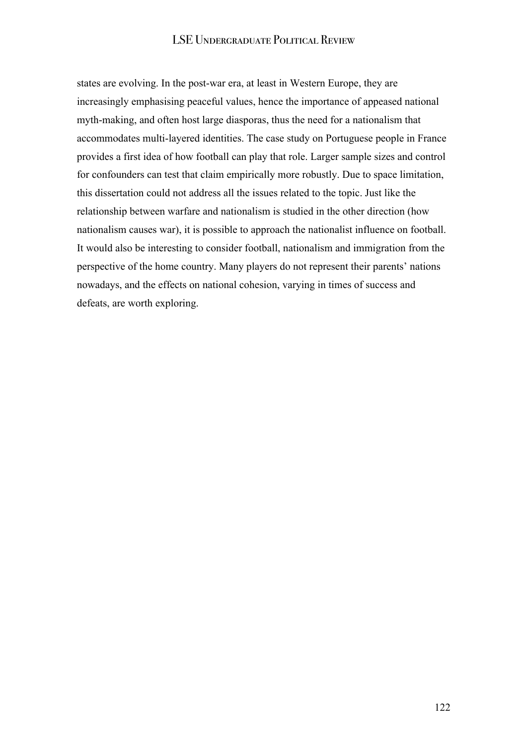states are evolving. In the post-war era, at least in Western Europe, they are increasingly emphasising peaceful values, hence the importance of appeased national myth-making, and often host large diasporas, thus the need for a nationalism that accommodates multi-layered identities. The case study on Portuguese people in France provides a first idea of how football can play that role. Larger sample sizes and control for confounders can test that claim empirically more robustly. Due to space limitation, this dissertation could not address all the issues related to the topic. Just like the relationship between warfare and nationalism is studied in the other direction (how nationalism causes war), it is possible to approach the nationalist influence on football. It would also be interesting to consider football, nationalism and immigration from the perspective of the home country. Many players do not represent their parents' nations nowadays, and the effects on national cohesion, varying in times of success and defeats, are worth exploring.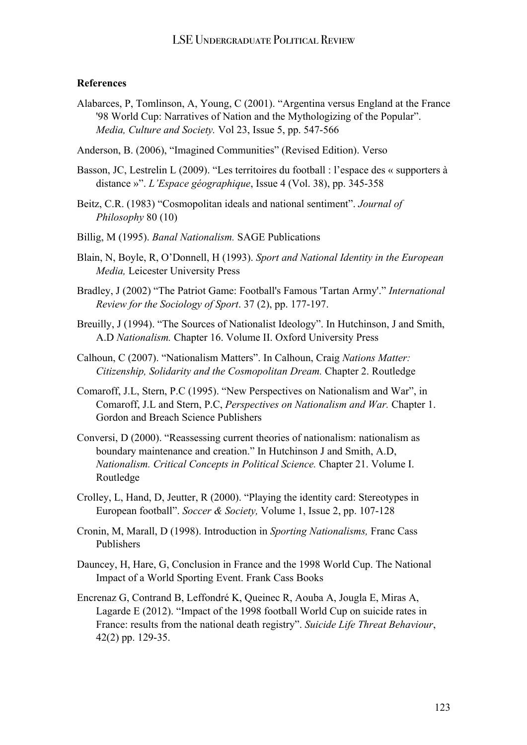#### **References**

- Alabarces, P, Tomlinson, A, Young, C (2001). "Argentina versus England at the France '98 World Cup: Narratives of Nation and the Mythologizing of the Popular". *Media, Culture and Society.* Vol 23, Issue 5, pp. 547-566
- Anderson, B. (2006), "Imagined Communities" (Revised Edition). Verso
- Basson, JC, Lestrelin L (2009). "Les territoires du football : l'espace des « supporters à distance »". *L'Espace géographique*, Issue 4 (Vol. 38), pp. 345-358
- Beitz, C.R. (1983) "Cosmopolitan ideals and national sentiment". *Journal of Philosophy* 80 (10)
- Billig, M (1995). *Banal Nationalism.* SAGE Publications
- Blain, N, Boyle, R, O'Donnell, H (1993). *Sport and National Identity in the European Media,* Leicester University Press
- Bradley, J (2002) "The Patriot Game: Football's Famous 'Tartan Army'." *International Review for the Sociology of Sport*. 37 (2), pp. 177-197.
- Breuilly, J (1994). "The Sources of Nationalist Ideology". In Hutchinson, J and Smith, A.D *Nationalism.* Chapter 16. Volume II. Oxford University Press
- Calhoun, C (2007). "Nationalism Matters". In Calhoun, Craig *Nations Matter: Citizenship, Solidarity and the Cosmopolitan Dream.* Chapter 2. Routledge
- Comaroff, J.L, Stern, P.C (1995). "New Perspectives on Nationalism and War", in Comaroff, J.L and Stern, P.C, *Perspectives on Nationalism and War.* Chapter 1. Gordon and Breach Science Publishers
- Conversi, D (2000). "Reassessing current theories of nationalism: nationalism as boundary maintenance and creation." In Hutchinson J and Smith, A.D, *Nationalism. Critical Concepts in Political Science.* Chapter 21. Volume I. Routledge
- Crolley, L, Hand, D, Jeutter, R (2000). "Playing the identity card: Stereotypes in European football". *Soccer & Society,* Volume 1, Issue 2, pp. 107-128
- Cronin, M, Marall, D (1998). Introduction in *Sporting Nationalisms,* Franc Cass Publishers
- Dauncey, H, Hare, G, Conclusion in France and the 1998 World Cup. The National Impact of a World Sporting Event. Frank Cass Books
- Encrenaz G, Contrand B, Leffondré K, Queinec R, Aouba A, Jougla E, Miras A, Lagarde E (2012). "Impact of the 1998 football World Cup on suicide rates in France: results from the national death registry". *Suicide Life Threat Behaviour*, 42(2) pp. 129-35.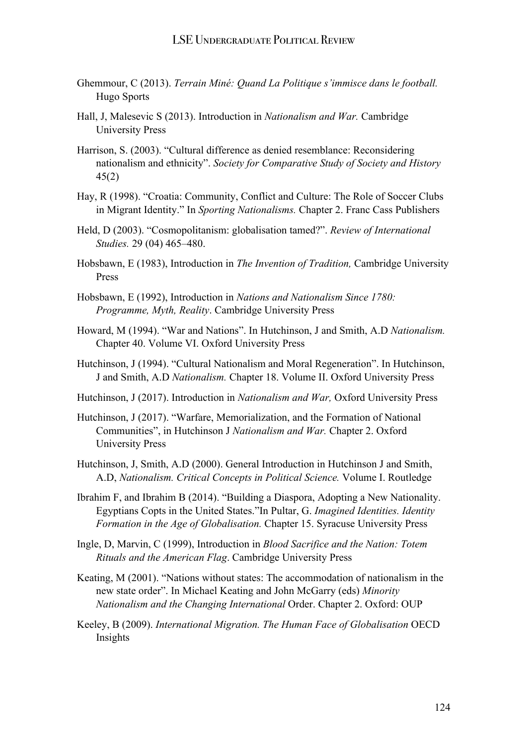- Ghemmour, C (2013). *Terrain Miné: Quand La Politique s'immisce dans le football.*  Hugo Sports
- Hall, J, Malesevic S (2013). Introduction in *Nationalism and War.* Cambridge University Press
- Harrison, S. (2003). "Cultural difference as denied resemblance: Reconsidering nationalism and ethnicity". *Society for Comparative Study of Society and History* 45(2)
- Hay, R (1998). "Croatia: Community, Conflict and Culture: The Role of Soccer Clubs in Migrant Identity." In *Sporting Nationalisms.* Chapter 2. Franc Cass Publishers
- Held, D (2003). "Cosmopolitanism: globalisation tamed?". *Review of International Studies.* 29 (04) 465–480.
- Hobsbawn, E (1983), Introduction in *The Invention of Tradition,* Cambridge University Press
- Hobsbawn, E (1992), Introduction in *Nations and Nationalism Since 1780: Programme, Myth, Reality*. Cambridge University Press
- Howard, M (1994). "War and Nations". In Hutchinson, J and Smith, A.D *Nationalism.*  Chapter 40. Volume VI. Oxford University Press
- Hutchinson, J (1994). "Cultural Nationalism and Moral Regeneration". In Hutchinson, J and Smith, A.D *Nationalism.* Chapter 18. Volume II. Oxford University Press
- Hutchinson, J (2017). Introduction in *Nationalism and War,* Oxford University Press
- Hutchinson, J (2017). "Warfare, Memorialization, and the Formation of National Communities", in Hutchinson J *Nationalism and War.* Chapter 2. Oxford University Press
- Hutchinson, J, Smith, A.D (2000). General Introduction in Hutchinson J and Smith, A.D, *Nationalism. Critical Concepts in Political Science.* Volume I. Routledge
- Ibrahim F, and Ibrahim B (2014). "Building a Diaspora, Adopting a New Nationality. Egyptians Copts in the United States."In Pultar, G. *Imagined Identities. Identity Formation in the Age of Globalisation.* Chapter 15. Syracuse University Press
- Ingle, D, Marvin, C (1999), Introduction in *Blood Sacrifice and the Nation: Totem Rituals and the American Flag*. Cambridge University Press
- Keating, M (2001). "Nations without states: The accommodation of nationalism in the new state order". In Michael Keating and John McGarry (eds) *Minority Nationalism and the Changing International* Order. Chapter 2. Oxford: OUP
- Keeley, B (2009). *International Migration. The Human Face of Globalisation* OECD Insights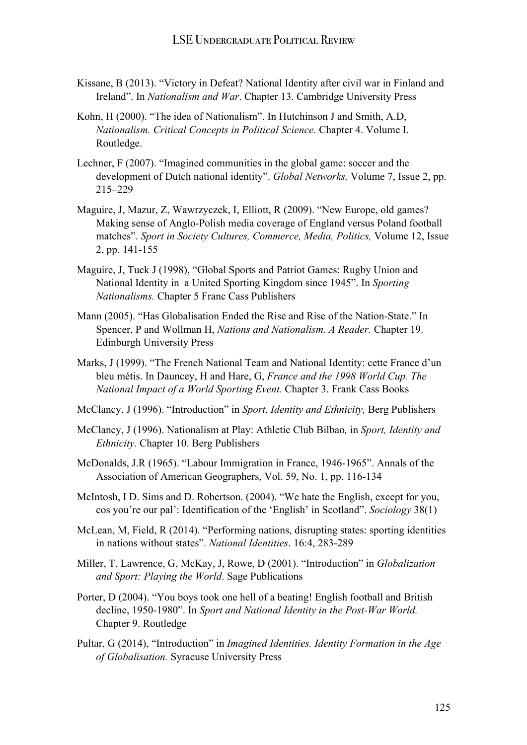- Kissane, B (2013). "Victory in Defeat? National Identity after civil war in Finland and Ireland". In *Nationalism and War*. Chapter 13. Cambridge University Press
- Kohn, H (2000). "The idea of Nationalism". In Hutchinson J and Smith, A.D, *Nationalism. Critical Concepts in Political Science.* Chapter 4. Volume I. Routledge.
- Lechner, F (2007). "Imagined communities in the global game: soccer and the development of Dutch national identity". *Global Networks,* Volume 7, Issue 2, pp. 215–229
- Maguire, J, Mazur, Z, Wawrzyczek, I, Elliott, R (2009). "New Europe, old games? Making sense of Anglo-Polish media coverage of England versus Poland football matches". *Sport in Society Cultures, Commerce, Media, Politics,* Volume 12, Issue 2, pp. 141-155
- Maguire, J, Tuck J (1998), "Global Sports and Patriot Games: Rugby Union and National Identity in a United Sporting Kingdom since 1945". In *Sporting Nationalisms.* Chapter 5 Franc Cass Publishers
- Mann (2005). "Has Globalisation Ended the Rise and Rise of the Nation-State." In Spencer, P and Wollman H, *Nations and Nationalism. A Reader.* Chapter 19. Edinburgh University Press
- Marks, J (1999). "The French National Team and National Identity: cette France d'un bleu métis. In Dauncey, H and Hare, G, *France and the 1998 World Cup. The National Impact of a World Sporting Event.* Chapter 3. Frank Cass Books
- McClancy, J (1996). "Introduction" in *Sport, Identity and Ethnicity,* Berg Publishers
- McClancy, J (1996). Nationalism at Play: Athletic Club Bilbao*,* in *Sport, Identity and Ethnicity.* Chapter 10. Berg Publishers
- McDonalds, J.R (1965). "Labour Immigration in France, 1946-1965". Annals of the Association of American Geographers, Vol. 59, No. 1, pp. 116-134
- McIntosh, I D. Sims and D. Robertson. (2004). "We hate the English, except for you, cos you're our pal': Identification of the 'English' in Scotland". *Sociology* 38(1)
- McLean, M, Field, R (2014). "Performing nations, disrupting states: sporting identities in nations without states". *National Identities*. 16:4, 283-289
- Miller, T, Lawrence, G, McKay, J, Rowe, D (2001). "Introduction" in *Globalization and Sport: Playing the World*. Sage Publications
- Porter, D (2004). "You boys took one hell of a beating! English football and British decline, 1950-1980". In *Sport and National Identity in the Post-War World.*  Chapter 9. Routledge
- Pultar, G (2014), "Introduction" in *Imagined Identities. Identity Formation in the Age of Globalisation.* Syracuse University Press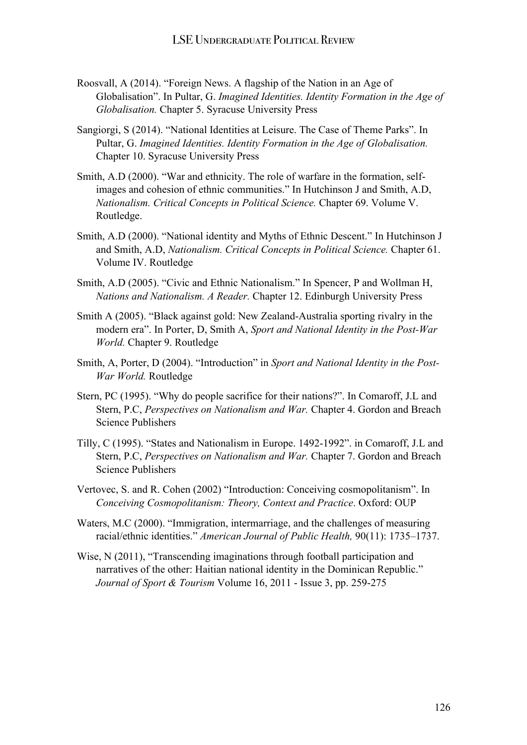- Roosvall, A (2014). "Foreign News. A flagship of the Nation in an Age of Globalisation". In Pultar, G. *Imagined Identities. Identity Formation in the Age of Globalisation.* Chapter 5. Syracuse University Press
- Sangiorgi, S (2014). "National Identities at Leisure. The Case of Theme Parks". In Pultar, G. *Imagined Identities. Identity Formation in the Age of Globalisation.*  Chapter 10. Syracuse University Press
- Smith, A.D (2000). "War and ethnicity. The role of warfare in the formation, selfimages and cohesion of ethnic communities." In Hutchinson J and Smith, A.D, *Nationalism. Critical Concepts in Political Science.* Chapter 69. Volume V. Routledge.
- Smith, A.D (2000). "National identity and Myths of Ethnic Descent." In Hutchinson J and Smith, A.D, *Nationalism. Critical Concepts in Political Science.* Chapter 61. Volume IV. Routledge
- Smith, A.D (2005). "Civic and Ethnic Nationalism." In Spencer, P and Wollman H, *Nations and Nationalism. A Reader.* Chapter 12. Edinburgh University Press
- Smith A (2005). "Black against gold: New Zealand-Australia sporting rivalry in the modern era". In Porter, D, Smith A, *Sport and National Identity in the Post-War World.* Chapter 9. Routledge
- Smith, A, Porter, D (2004). "Introduction" in *Sport and National Identity in the Post-War World.* Routledge
- Stern, PC (1995). "Why do people sacrifice for their nations?". In Comaroff, J.L and Stern, P.C, *Perspectives on Nationalism and War.* Chapter 4. Gordon and Breach Science Publishers
- Tilly, C (1995). "States and Nationalism in Europe. 1492-1992". in Comaroff, J.L and Stern, P.C, *Perspectives on Nationalism and War.* Chapter 7. Gordon and Breach Science Publishers
- Vertovec, S. and R. Cohen (2002) "Introduction: Conceiving cosmopolitanism". In *Conceiving Cosmopolitanism: Theory, Context and Practice*. Oxford: OUP
- Waters, M.C (2000). "Immigration, intermarriage, and the challenges of measuring racial/ethnic identities." *American Journal of Public Health,* 90(11): 1735–1737.
- Wise, N (2011), "Transcending imaginations through football participation and narratives of the other: Haitian national identity in the Dominican Republic." *Journal of Sport & Tourism* Volume 16, 2011 - Issue 3, pp. 259-275